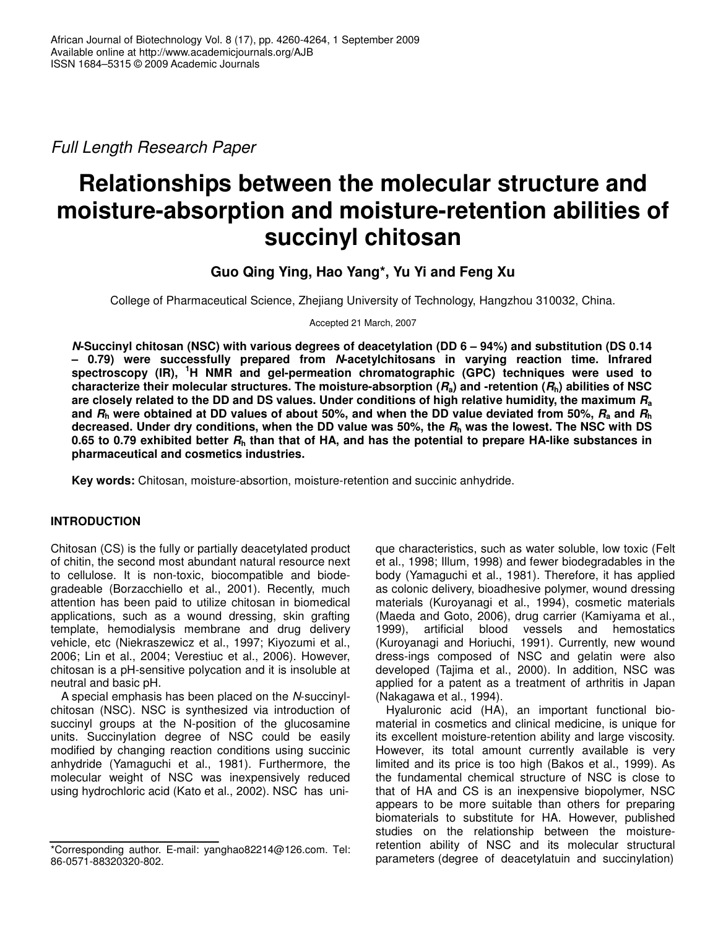*Full Length Research Paper*

# **Relationships between the molecular structure and moisture-absorption and moisture-retention abilities of succinyl chitosan**

**Guo Qing Ying, Hao Yang\*, Yu Yi and Feng Xu**

College of Pharmaceutical Science, Zhejiang University of Technology, Hangzhou 310032, China.

Accepted 21 March, 2007

*N***-Succinyl chitosan (NSC) with various degrees of deacetylation (DD 6 – 94%) and substitution (DS 0.14 – 0.79) were successfully prepared from** *N***-acetylchitosans in varying reaction time. Infrared spectroscopy (IR), <sup>1</sup>H NMR and gel-permeation chromatographic (GPC) techniques were used to** characterize their molecular structures. The moisture-absorption  $(R_a)$  and -retention  $(R_h)$  abilities of NSC are closely related to the DD and DS values. Under conditions of high relative humidity, the maximum  $R_a$ and  $R_h$  were obtained at DD values of about 50%, and when the DD value deviated from 50%,  $R_a$  and  $R_h$ decreased. Under dry conditions, when the DD value was 50%, the  $R_h$  was the lowest. The NSC with DS 0.65 to 0.79 exhibited better  $R<sub>h</sub>$  than that of HA, and has the potential to prepare HA-like substances in **pharmaceutical and cosmetics industries.**

**Key words:** Chitosan, moisture-absortion, moisture-retention and succinic anhydride.

# **INTRODUCTION**

Chitosan (CS) is the fully or partially deacetylated product of chitin, the second most abundant natural resource next to cellulose. It is non-toxic, biocompatible and biodegradeable (Borzacchiello et al., 2001). Recently, much attention has been paid to utilize chitosan in biomedical applications, such as a wound dressing, skin grafting template, hemodialysis membrane and drug delivery vehicle, etc (Niekraszewicz et al., 1997; Kiyozumi et al., 2006; Lin et al., 2004; Verestiuc et al., 2006). However, chitosan is a pH-sensitive polycation and it is insoluble at neutral and basic pH.

A special emphasis has been placed on the *N*-succinylchitosan (NSC). NSC is synthesized via introduction of succinyl groups at the N-position of the glucosamine units. Succinylation degree of NSC could be easily modified by changing reaction conditions using succinic anhydride (Yamaguchi et al., 1981). Furthermore, the molecular weight of NSC was inexpensively reduced using hydrochloric acid (Kato et al., 2002). NSC has unique characteristics, such as water soluble, low toxic (Felt et al., 1998; Illum, 1998) and fewer biodegradables in the body (Yamaguchi et al., 1981). Therefore, it has applied as colonic delivery, bioadhesive polymer, wound dressing materials (Kuroyanagi et al., 1994), cosmetic materials (Maeda and Goto, 2006), drug carrier (Kamiyama et al., 1999), artificial blood vessels and hemostatics (Kuroyanagi and Horiuchi, 1991). Currently, new wound dress-ings composed of NSC and gelatin were also developed (Tajima et al., 2000). In addition, NSC was applied for a patent as a treatment of arthritis in Japan (Nakagawa et al., 1994).

Hyaluronic acid (HA), an important functional biomaterial in cosmetics and clinical medicine, is unique for its excellent moisture-retention ability and large viscosity. However, its total amount currently available is very limited and its price is too high (Bakos et al., 1999). As the fundamental chemical structure of NSC is close to that of HA and CS is an inexpensive biopolymer, NSC appears to be more suitable than others for preparing biomaterials to substitute for HA. However, published studies on the relationship between the moistureretention ability of NSC and its molecular structural parameters (degree of deacetylatuin and succinylation)

<sup>\*</sup>Corresponding author. E-mail: yanghao82214@126.com. Tel: 86-0571-88320320-802.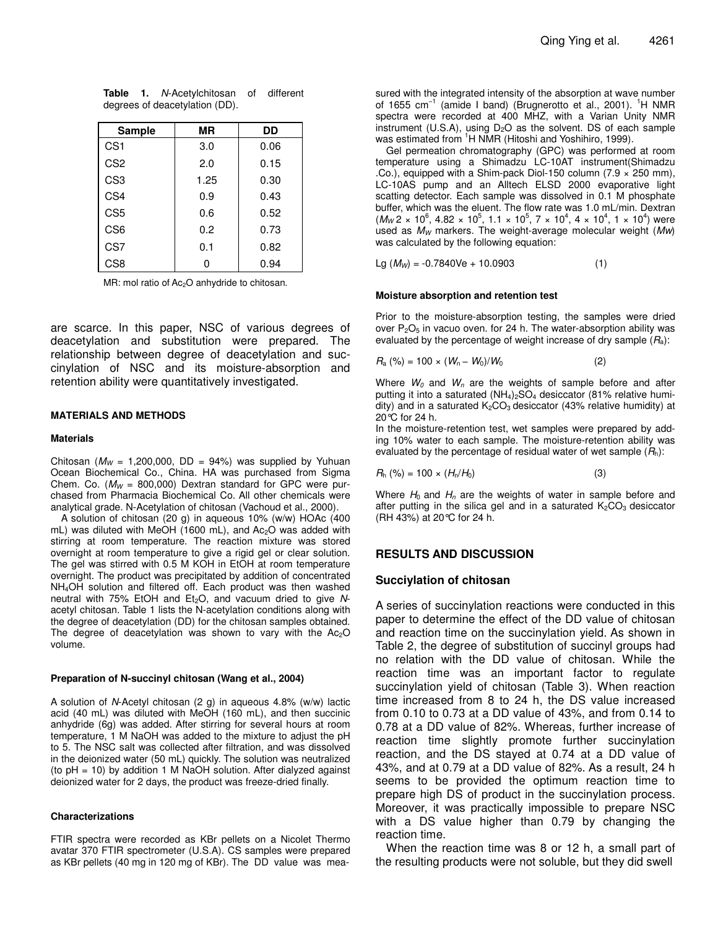| <b>Sample</b>   | ΜR   | DD   |
|-----------------|------|------|
| CS <sub>1</sub> | 3.0  | 0.06 |
| CS <sub>2</sub> | 2.0  | 0.15 |
| CS <sub>3</sub> | 1.25 | 0.30 |
| CS <sub>4</sub> | 0.9  | 0.43 |
| CS <sub>5</sub> | 0.6  | 0.52 |
| CS <sub>6</sub> | 0.2  | 0.73 |
| CS7             | 0.1  | 0.82 |
| CS <sub>8</sub> | ი    | 0.94 |

**Table 1.** *N*-Acetylchitosan of different degrees of deacetylation (DD).

MR: mol ratio of Ac<sub>2</sub>O anhydride to chitosan.

are scarce. In this paper, NSC of various degrees of deacetylation and substitution were prepared. The relationship between degree of deacetylation and succinylation of NSC and its moisture-absorption and retention ability were quantitatively investigated.

#### **MATERIALS AND METHODS**

#### **Materials**

Chitosan ( $M_W = 1,200,000$ , DD = 94%) was supplied by Yuhuan Ocean Biochemical Co., China. HA was purchased from Sigma Chem. Co. (*M<sup>W</sup>* = 800,000) Dextran standard for GPC were purchased from Pharmacia Biochemical Co. All other chemicals were analytical grade. N-Acetylation of chitosan (Vachoud et al., 2000).

A solution of chitosan (20 g) in aqueous 10% (w/w) HOAc (400 mL) was diluted with MeOH (1600 mL), and Ac<sub>2</sub>O was added with stirring at room temperature. The reaction mixture was stored overnight at room temperature to give a rigid gel or clear solution. The gel was stirred with 0.5 M KOH in EtOH at room temperature overnight. The product was precipitated by addition of concentrated NH4OH solution and filtered off. Each product was then washed neutral with 75% EtOH and Et<sub>2</sub>O, and vacuum dried to give Nacetyl chitosan. Table 1 lists the N-acetylation conditions along with the degree of deacetylation (DD) for the chitosan samples obtained. The degree of deacetylation was shown to vary with the Ac<sub>2</sub>O volume.

#### **Preparation of N-succinyl chitosan (Wang et al., 2004)**

A solution of *N*-Acetyl chitosan (2 g) in aqueous 4.8% (w/w) lactic acid (40 mL) was diluted with MeOH (160 mL), and then succinic anhydride (6g) was added. After stirring for several hours at room temperature, 1 M NaOH was added to the mixture to adjust the pH to 5. The NSC salt was collected after filtration, and was dissolved in the deionized water (50 mL) quickly. The solution was neutralized (to  $pH = 10$ ) by addition 1 M NaOH solution. After dialyzed against deionized water for 2 days, the product was freeze-dried finally.

#### **Characterizations**

FTIR spectra were recorded as KBr pellets on a Nicolet Thermo avatar 370 FTIR spectrometer (U.S.A). CS samples were prepared as KBr pellets (40 mg in 120 mg of KBr). The DD value was mea-

sured with the integrated intensity of the absorption at wave number of 1655 cm<sup>-1</sup> (amide I band) (Brugnerotto et al., 2001). <sup>1</sup>H NMR spectra were recorded at 400 MHZ, with a Varian Unity NMR instrument (U.S.A), using D<sub>2</sub>O as the solvent. DS of each sample was estimated from <sup>1</sup>H NMR (Hitoshi and Yoshihiro, 1999).

Gel permeation chromatography (GPC) was performed at room temperature using a Shimadzu LC-10AT instrument(Shimadzu .Co.), equipped with a Shim-pack Diol-150 column (7.9 × 250 mm), LC-10AS pump and an Alltech ELSD 2000 evaporative light scatting detector. Each sample was dissolved in 0.1 M phosphate buffer, which was the eluent. The flow rate was 1.0 mL/min. Dextran  $(M_W 2 \times 10^6, 4.82 \times 10^5, 1.1 \times 10^5, 7 \times 10^4, 4 \times 10^4, 1 \times 10^4)$  were used as *M<sup>W</sup>* markers. The weight-average molecular weight (*Mw*) was calculated by the following equation:

$$
Lg (M_W) = -0.7840 \text{Ve} + 10.0903 \tag{1}
$$

#### **Moisture absorption and retention test**

Prior to the moisture-absorption testing, the samples were dried over  $P_2O_5$  in vacuo oven. for 24 h. The water-absorption ability was evaluated by the percentage of weight increase of dry sample (*R*a):

$$
R_{\rm a} \, (\%) = 100 \times (W_{\rm n} - W_0) / W_0 \tag{2}
$$

Where *W<sup>0</sup>* and *W<sup>n</sup>* are the weights of sample before and after putting it into a saturated  $(NH_4)_2SO_4$  desiccator (81% relative humidity) and in a saturated  $K_2CO_3$  desiccator (43% relative humidity) at 20°C for 24 h.

In the moisture-retention test, wet samples were prepared by adding 10% water to each sample. The moisture-retention ability was evaluated by the percentage of residual water of wet sample (*R*h):

$$
R_h\ (\%) = 100 \times (H_n/H_0) \tag{3}
$$

Where  $H_0$  and  $H_n$  are the weights of water in sample before and after putting in the silica gel and in a saturated  $K_2CO_3$  desiccator (RH 43%) at 20°C for 24 h.

### **RESULTS AND DISCUSSION**

### **Succiylation of chitosan**

A series of succinylation reactions were conducted in this paper to determine the effect of the DD value of chitosan and reaction time on the succinylation yield. As shown in Table 2, the degree of substitution of succinyl groups had no relation with the DD value of chitosan. While the reaction time was an important factor to regulate succinylation yield of chitosan (Table 3). When reaction time increased from 8 to 24 h, the DS value increased from 0.10 to 0.73 at a DD value of 43%, and from 0.14 to 0.78 at a DD value of 82%. Whereas, further increase of reaction time slightly promote further succinylation reaction, and the DS stayed at 0.74 at a DD value of 43%, and at 0.79 at a DD value of 82%. As a result, 24 h seems to be provided the optimum reaction time to prepare high DS of product in the succinylation process. Moreover, it was practically impossible to prepare NSC with a DS value higher than 0.79 by changing the reaction time.

When the reaction time was 8 or 12 h, a small part of the resulting products were not soluble, but they did swell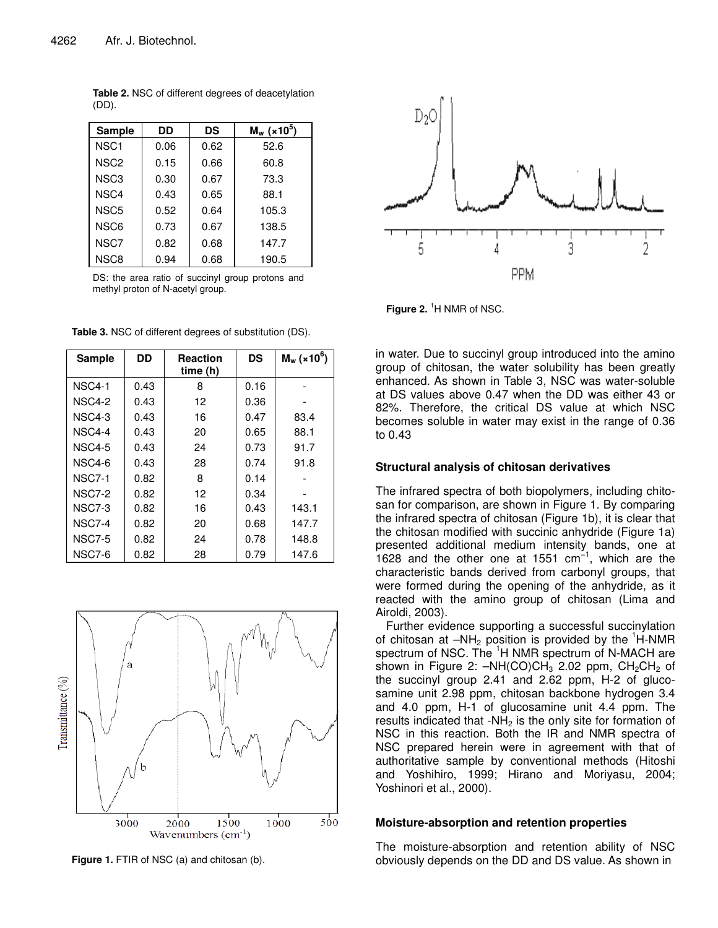| <b>Sample</b>    | DD   | DS   | $M_w$ (×10 <sup>5</sup> ) |  |
|------------------|------|------|---------------------------|--|
| NSC <sub>1</sub> | 0.06 | 0.62 | 52.6                      |  |
| NSC <sub>2</sub> | 0.15 | 0.66 | 60.8                      |  |
| NSC <sub>3</sub> | 0.30 | 0.67 | 73.3                      |  |
| NSC <sub>4</sub> | 0.43 | 0.65 | 88.1                      |  |
| NSC <sub>5</sub> | 0.52 | 0.64 | 105.3                     |  |
| NSC <sub>6</sub> | 0.73 | 0.67 | 138.5                     |  |
| NSC7             | 0.82 | 0.68 | 147.7                     |  |
| NSC <sub>8</sub> | 0.94 | 0.68 | 190.5                     |  |

**Table 2.** NSC of different degrees of deacetylation (DD).

DS: the area ratio of succinyl group protons and methyl proton of N-acetyl group.

| <b>Sample</b>      | DD   | <b>Reaction</b><br>time(h) | <b>DS</b> | $M_w$ (×10 <sup>6</sup> ) |  |
|--------------------|------|----------------------------|-----------|---------------------------|--|
| <b>NSC4-1</b>      | 0.43 | 0.16<br>8                  |           |                           |  |
| <b>NSC4-2</b>      | 0.43 | 12                         | 0.36      |                           |  |
| NSC4-3             | 0.43 | 16                         | 0.47      | 83.4                      |  |
| NSC4-4             | 0.43 | 20                         | 0.65      | 88.1                      |  |
| <b>NSC4-5</b>      | 0.43 | 24                         | 0.73      | 91.7                      |  |
| NSC <sub>4-6</sub> | 0.43 | 28<br>0.74                 |           | 91.8                      |  |
| <b>NSC7-1</b>      | 0.82 | 8                          | 0.14      |                           |  |
| <b>NSC7-2</b>      | 0.82 | 12                         | 0.34      |                           |  |
| <b>NSC7-3</b>      | 0.82 | 16                         | 0.43      | 143.1                     |  |
| <b>NSC7-4</b>      | 0.82 | 20                         | 0.68      | 147.7                     |  |
| <b>NSC7-5</b>      | 0.82 | 24                         | 0.78      | 148.8                     |  |
| NSC7-6             | 0.82 | 28                         | 0.79      | 147.6                     |  |

**Table 3.** NSC of different degrees of substitution (DS).



**Figure 1.** FTIR of NSC (a) and chitosan (b).



**Figure 2.** <sup>1</sup>H NMR of NSC.

in water. Due to succinyl group introduced into the amino group of chitosan, the water solubility has been greatly enhanced. As shown in Table 3, NSC was water-soluble at DS values above 0.47 when the DD was either 43 or 82%. Therefore, the critical DS value at which NSC becomes soluble in water may exist in the range of 0.36 to 0.43

## **Structural analysis of chitosan derivatives**

The infrared spectra of both biopolymers, including chitosan for comparison, are shown in Figure 1. By comparing the infrared spectra of chitosan (Figure 1b), it is clear that the chitosan modified with succinic anhydride (Figure 1a) presented additional medium intensity bands, one at 1628 and the other one at 1551  $cm^{-1}$ , which are the characteristic bands derived from carbonyl groups, that were formed during the opening of the anhydride, as it reacted with the amino group of chitosan (Lima and Airoldi, 2003).

Further evidence supporting a successful succinylation of chitosan at  $-NH_2$  position is provided by the  ${}^{1}$ H-NMR spectrum of NSC. The <sup>1</sup>H NMR spectrum of N-MACH are shown in Figure 2:  $-NH(CO)CH<sub>3</sub>$  2.02 ppm,  $CH<sub>2</sub>CH<sub>2</sub>$  of the succinyl group 2.41 and 2.62 ppm, H-2 of glucosamine unit 2.98 ppm, chitosan backbone hydrogen 3.4 and 4.0 ppm, H-1 of glucosamine unit 4.4 ppm. The results indicated that -NH<sub>2</sub> is the only site for formation of NSC in this reaction. Both the IR and NMR spectra of NSC prepared herein were in agreement with that of authoritative sample by conventional methods (Hitoshi and Yoshihiro, 1999; Hirano and Moriyasu, 2004; Yoshinori et al., 2000).

## **Moisture-absorption and retention properties**

The moisture-absorption and retention ability of NSC obviously depends on the DD and DS value. As shown in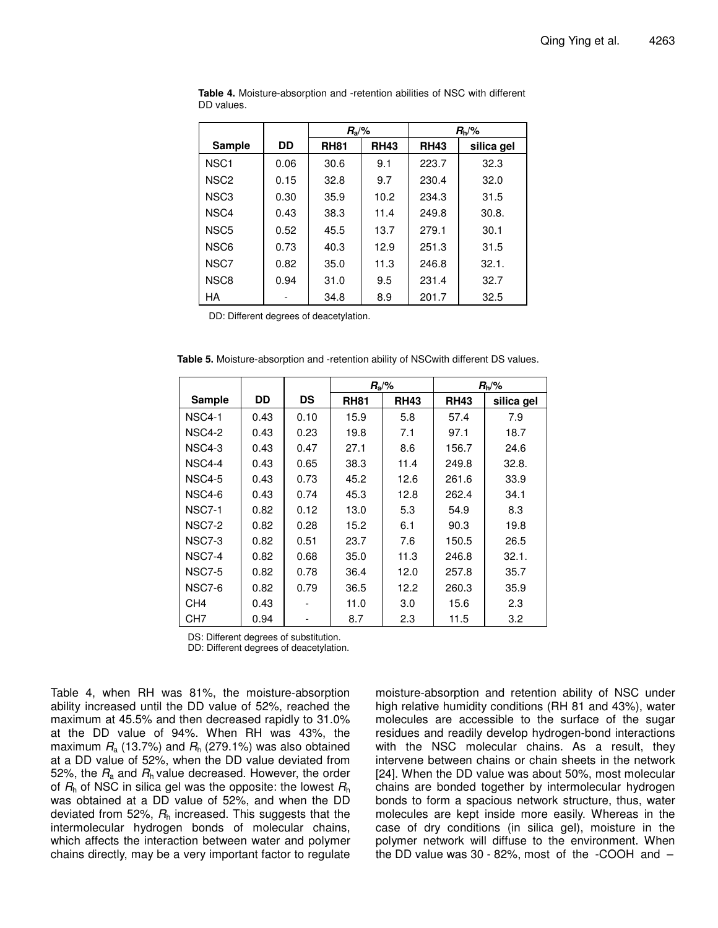|                  |      | $R_{\rm a}/\%$ |             |             | $R_h$ /%   |
|------------------|------|----------------|-------------|-------------|------------|
| <b>Sample</b>    | DD   | <b>RH81</b>    | <b>RH43</b> | <b>RH43</b> | silica gel |
| NSC <sub>1</sub> | 0.06 | 30.6           | 9.1         | 223.7       | 32.3       |
| NSC <sub>2</sub> | 0.15 | 32.8           | 9.7         | 230.4       | 32.0       |
| NSC <sub>3</sub> | 0.30 | 35.9           | 10.2        | 234.3       | 31.5       |
| NSC4             | 0.43 | 38.3           | 11.4        | 249.8       | 30.8.      |
| NSC <sub>5</sub> | 0.52 | 45.5           | 13.7        | 279.1       | 30.1       |
| NSC6             | 0.73 | 40.3           | 12.9        | 251.3       | 31.5       |
| NSC7             | 0.82 | 35.0           | 11.3        | 246.8       | 32.1.      |
| NSC <sub>8</sub> | 0.94 | 31.0           | 9.5         | 231.4       | 32.7       |
| НA               |      | 34.8           | 8.9         | 201.7       | 32.5       |

**Table 4.** Moisture-absorption and -retention abilities of NSC with different DD values.

DD: Different degrees of deacetylation.

**Table 5.** Moisture-absorption and -retention ability of NSCwith different DS values.

|                 |      |           | $R_{\rm a}/\%$ |             |             | $R_h$ /%   |
|-----------------|------|-----------|----------------|-------------|-------------|------------|
| Sample          | DD   | <b>DS</b> | <b>RH81</b>    | <b>RH43</b> | <b>RH43</b> | silica gel |
| <b>NSC4-1</b>   | 0.43 | 0.10      | 15.9           | 5.8         | 57.4        | 7.9        |
| <b>NSC4-2</b>   | 0.43 | 0.23      | 19.8           | 7.1         | 97.1        | 18.7       |
| NSC4-3          | 0.43 | 0.47      | 27.1           | 8.6         | 156.7       | 24.6       |
| NSC4-4          | 0.43 | 0.65      | 38.3           | 11.4        | 249.8       | 32.8.      |
| <b>NSC4-5</b>   | 0.43 | 0.73      | 45.2           | 12.6        | 261.6       | 33.9       |
| NSC4-6          | 0.43 | 0.74      | 45.3           | 12.8        | 262.4       | 34.1       |
| <b>NSC7-1</b>   | 0.82 | 0.12      | 13.0           | 5.3         | 54.9        | 8.3        |
| <b>NSC7-2</b>   | 0.82 | 0.28      | 15.2           | 6.1         | 90.3        | 19.8       |
| NSC7-3          | 0.82 | 0.51      | 23.7           | 7.6         | 150.5       | 26.5       |
| <b>NSC7-4</b>   | 0.82 | 0.68      | 35.0           | 11.3        | 246.8       | 32.1.      |
| <b>NSC7-5</b>   | 0.82 | 0.78      | 36.4           | 12.0        | 257.8       | 35.7       |
| NSC7-6          | 0.82 | 0.79      | 36.5           | 12.2        | 260.3       | 35.9       |
| CH <sub>4</sub> | 0.43 |           | 11.0           | 3.0         | 15.6        | 2.3        |
| CH <sub>7</sub> | 0.94 |           | 8.7            | 2.3         | 11.5        | 3.2        |

DS: Different degrees of substitution.

DD: Different degrees of deacetylation.

Table 4, when RH was 81%, the moisture-absorption ability increased until the DD value of 52%, reached the maximum at 45.5% and then decreased rapidly to 31.0% at the DD value of 94%. When RH was 43%, the maximum  $R_a$  (13.7%) and  $R_h$  (279.1%) was also obtained at a DD value of 52%, when the DD value deviated from 52%, the  $R_a$  and  $R_h$  value decreased. However, the order of *R*<sup>h</sup> of NSC in silica gel was the opposite: the lowest *R*<sup>h</sup> was obtained at a DD value of 52%, and when the DD deviated from 52%, *R*<sup>h</sup> increased. This suggests that the intermolecular hydrogen bonds of molecular chains, which affects the interaction between water and polymer chains directly, may be a very important factor to regulate

moisture-absorption and retention ability of NSC under high relative humidity conditions (RH 81 and 43%), water molecules are accessible to the surface of the sugar residues and readily develop hydrogen-bond interactions with the NSC molecular chains. As a result, they intervene between chains or chain sheets in the network [24]. When the DD value was about 50%, most molecular chains are bonded together by intermolecular hydrogen bonds to form a spacious network structure, thus, water molecules are kept inside more easily. Whereas in the case of dry conditions (in silica gel), moisture in the polymer network will diffuse to the environment. When the DD value was 30 - 82%, most of the -COOH and –